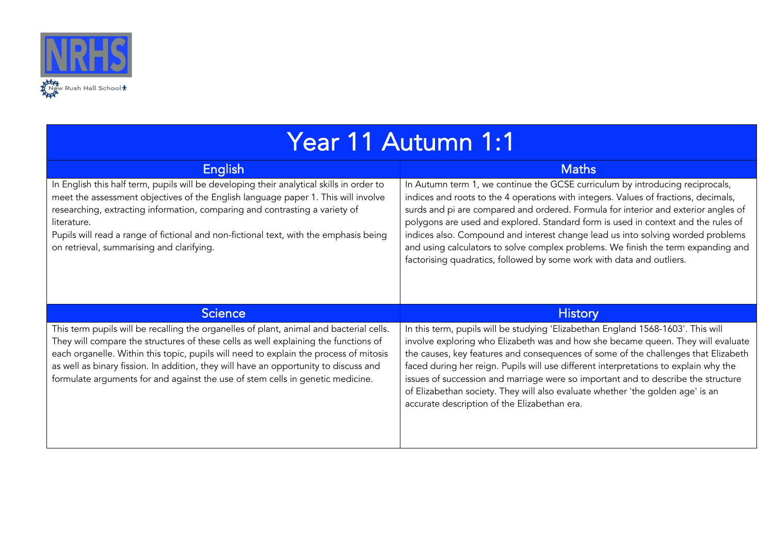

| Year 11 Autumn 1:1 |  |  |
|--------------------|--|--|
|                    |  |  |

| English                                                                                                                                                                                                                                                                                                                                                                                                           | <b>Maths</b>                                                                                                                                                                                                                                                                                                                                                                                                                                                                                                                                                                                     |
|-------------------------------------------------------------------------------------------------------------------------------------------------------------------------------------------------------------------------------------------------------------------------------------------------------------------------------------------------------------------------------------------------------------------|--------------------------------------------------------------------------------------------------------------------------------------------------------------------------------------------------------------------------------------------------------------------------------------------------------------------------------------------------------------------------------------------------------------------------------------------------------------------------------------------------------------------------------------------------------------------------------------------------|
| In English this half term, pupils will be developing their analytical skills in order to<br>meet the assessment objectives of the English language paper 1. This will involve<br>researching, extracting information, comparing and contrasting a variety of<br>literature.<br>Pupils will read a range of fictional and non-fictional text, with the emphasis being<br>on retrieval, summarising and clarifying. | In Autumn term 1, we continue the GCSE curriculum by introducing reciprocals,<br>indices and roots to the 4 operations with integers. Values of fractions, decimals,<br>surds and pi are compared and ordered. Formula for interior and exterior angles of<br>polygons are used and explored. Standard form is used in context and the rules of<br>indices also. Compound and interest change lead us into solving worded problems<br>and using calculators to solve complex problems. We finish the term expanding and<br>factorising quadratics, followed by some work with data and outliers. |
|                                                                                                                                                                                                                                                                                                                                                                                                                   |                                                                                                                                                                                                                                                                                                                                                                                                                                                                                                                                                                                                  |
| <b>Science</b>                                                                                                                                                                                                                                                                                                                                                                                                    | <b>History</b>                                                                                                                                                                                                                                                                                                                                                                                                                                                                                                                                                                                   |